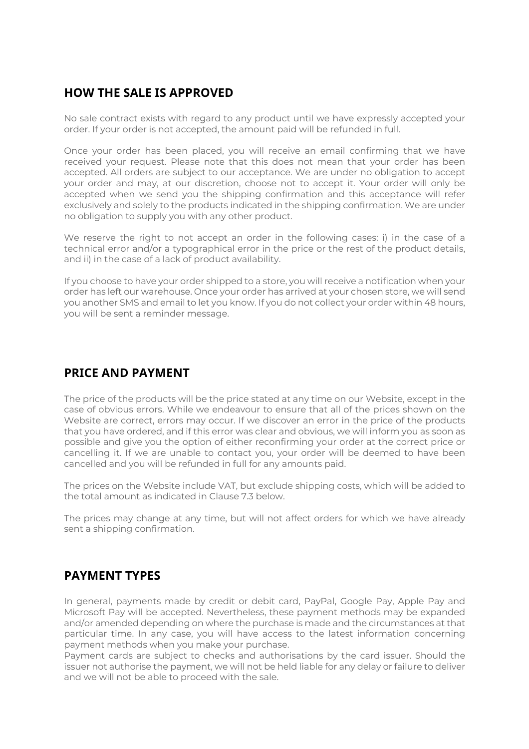# **HOW THE SALE IS APPROVED**

No sale contract exists with regard to any product until we have expressly accepted your order. If your order is not accepted, the amount paid will be refunded in full.

Once your order has been placed, you will receive an email confirming that we have received your request. Please note that this does not mean that your order has been accepted. All orders are subject to our acceptance. We are under no obligation to accept your order and may, at our discretion, choose not to accept it. Your order will only be accepted when we send you the shipping confirmation and this acceptance will refer exclusively and solely to the products indicated in the shipping confirmation. We are under no obligation to supply you with any other product.

We reserve the right to not accept an order in the following cases: i) in the case of a technical error and/or a typographical error in the price or the rest of the product details, and ii) in the case of a lack of product availability.

If you choose to have your order shipped to a store, you will receive a notification when your order has left our warehouse. Once your order has arrived at your chosen store, we will send you another SMS and email to let you know. If you do not collect your order within 48 hours, you will be sent a reminder message.

# **PRICE AND PAYMENT**

The price of the products will be the price stated at any time on our Website, except in the case of obvious errors. While we endeavour to ensure that all of the prices shown on the Website are correct, errors may occur. If we discover an error in the price of the products that you have ordered, and if this error was clear and obvious, we will inform you as soon as possible and give you the option of either reconfirming your order at the correct price or cancelling it. If we are unable to contact you, your order will be deemed to have been cancelled and you will be refunded in full for any amounts paid.

The prices on the Website include VAT, but exclude shipping costs, which will be added to the total amount as indicated in Clause 7.3 below.

The prices may change at any time, but will not affect orders for which we have already sent a shipping confirmation.

# **PAYMENT TYPES**

In general, payments made by credit or debit card, PayPal, Google Pay, Apple Pay and Microsoft Pay will be accepted. Nevertheless, these payment methods may be expanded and/or amended depending on where the purchase is made and the circumstances at that particular time. In any case, you will have access to the latest information concerning payment methods when you make your purchase.

Payment cards are subject to checks and authorisations by the card issuer. Should the issuer not authorise the payment, we will not be held liable for any delay or failure to deliver and we will not be able to proceed with the sale.